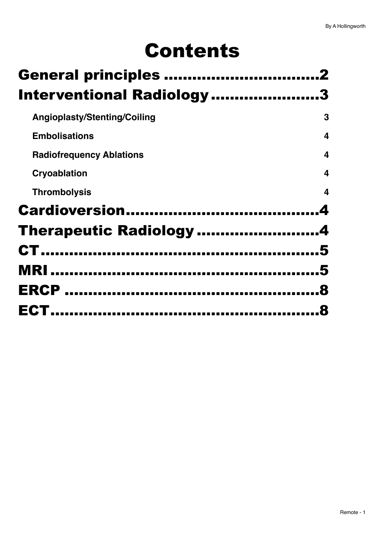# Contents

| <b>General principles </b>          |   |
|-------------------------------------|---|
| <b>Interventional Radiology </b>    |   |
| <b>Angioplasty/Stenting/Coiling</b> | 3 |
| <b>Embolisations</b>                | 4 |
| <b>Radiofrequency Ablations</b>     | 4 |
| Cryoablation                        | 4 |
| <b>Thrombolysis</b>                 | 4 |
|                                     |   |
| Therapeutic Radiology 4             |   |
|                                     |   |
|                                     |   |
|                                     |   |
|                                     |   |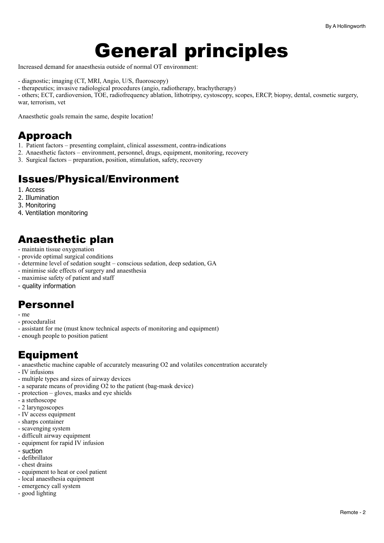## <span id="page-1-0"></span>General principles

Increased demand for anaesthesia outside of normal OT environment:

- diagnostic; imaging (CT, MRI, Angio, U/S, fluoroscopy)
- therapeutics; invasive radiological procedures (angio, radiotherapy, brachytherapy)

- others; ECT, cardioversion, TOE, radiofrequency ablation, lithotripsy, cystoscopy, scopes, ERCP, biopsy, dental, cosmetic surgery, war, terrorism, vet

Anaesthetic goals remain the same, despite location!

### Approach

- 1. Patient factors presenting complaint, clinical assessment, contra-indications
- 2. Anaesthetic factors environment, personnel, drugs, equipment, monitoring, recovery
- 3. Surgical factors preparation, position, stimulation, safety, recovery

## Issues/Physical/Environment

- 1. Access
- 2. Illumination
- 3. Monitoring
- 4. Ventilation monitoring

## Anaesthetic plan

- maintain tissue oxygenation
- provide optimal surgical conditions
- determine level of sedation sought conscious sedation, deep sedation, GA
- minimise side effects of surgery and anaesthesia
- maximise safety of patient and staff
- quality information

## Personnel

- me
- proceduralist
- assistant for me (must know technical aspects of monitoring and equipment)
- enough people to position patient

## Equipment

- anaesthetic machine capable of accurately measuring O2 and volatiles concentration accurately
- IV infusions
- multiple types and sizes of airway devices
- a separate means of providing O2 to the patient (bag-mask device)
- protection gloves, masks and eye shields
- a stethoscope
- 2 laryngoscopes
- IV access equipment
- sharps container
- scavenging system
- difficult airway equipment
- equipment for rapid IV infusion
- suction
- defibrillator
- chest drains
- equipment to heat or cool patient
- local anaesthesia equipment
- emergency call system
- good lighting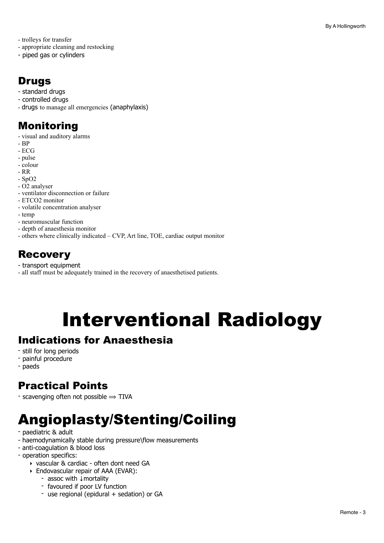- trolleys for transfer

- appropriate cleaning and restocking
- piped gas or cylinders

## Drugs

- standard drugs
- controlled drugs
- drugs to manage all emergencies (anaphylaxis)

## Monitoring

- visual and auditory alarms
- BP
- ECG
- pulse
- colour
- RR
- SpO2
- O2 analyser
- ventilator disconnection or failure
- ETCO2 monitor
- volatile concentration analyser
- temp
- neuromuscular function
- depth of anaesthesia monitor
- others where clinically indicated CVP, Art line, TOE, cardiac output monitor

## **Recovery**

- transport equipment
- all staff must be adequately trained in the recovery of anaesthetised patients.

# <span id="page-2-0"></span>Interventional Radiology

### Indications for Anaesthesia

- still for long periods
- painful procedure
- paeds

## Practical Points

- scavenging often not possible  $\Rightarrow$  TIVA

## <span id="page-2-1"></span>Angioplasty/Stenting/Coiling

- paediatric & adult
- haemodynamically stable during pressure\flow measurements
- anti-coagulation & blood loss
- operation specifics:
	- ‣ vascular & cardiac often dont need GA
	- ‣ Endovascular repair of AAA (EVAR):
		- assoc with ↓mortality
		- favoured if poor LV function
		- use regional (epidural + sedation) or GA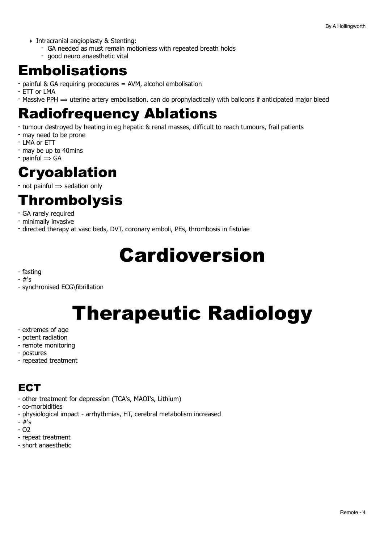- ‣ Intracranial angioplasty & Stenting:
	- GA needed as must remain motionless with repeated breath holds
	- good neuro anaesthetic vital

## <span id="page-3-0"></span>Embolisations

- painful & GA requiring procedures = AVM, alcohol embolisation
- ETT or LMA
- Massive PPH  $\Rightarrow$  uterine artery embolisation. can do prophylactically with balloons if anticipated major bleed

## <span id="page-3-1"></span>Radiofrequency Ablations

- tumour destroyed by heating in eg hepatic & renal masses, difficult to reach tumours, frail patients
- may need to be prone
- LMA or ETT
- may be up to 40mins
- $-$  painful  $\Rightarrow$  GA

## <span id="page-3-2"></span>Cryoablation

 $-$  not painful  $\Rightarrow$  sedation only

## <span id="page-3-3"></span>Thrombolysis

- GA rarely required
- minimally invasive
- directed therapy at vasc beds, DVT, coronary emboli, PEs, thrombosis in fistulae

# <span id="page-3-4"></span>Cardioversion

- fasting
- #'s
- synchronised ECG\fibrillation

# <span id="page-3-5"></span>Therapeutic Radiology

- extremes of age
- potent radiation
- remote monitoring
- postures
- repeated treatment

## **ECT**

- other treatment for depression (TCA's, MAOI's, Lithium)
- co-morbidities
- physiological impact arrhythmias, HT, cerebral metabolism increased
- #'s
- O2
- repeat treatment
- short anaesthetic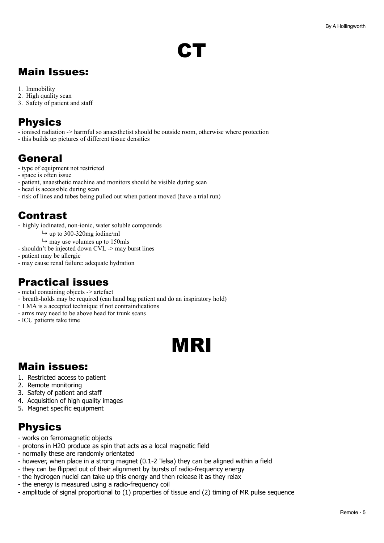# <span id="page-4-0"></span>**CT**

## Main Issues:

- 1. Immobility
- 2. High quality scan
- 3. Safety of patient and staff

## **Physics**

- ionised radiation -> harmful so anaesthetist should be outside room, otherwise where protection
- this builds up pictures of different tissue densities

## General

- type of equipment not restricted
- space is often issue
- patient, anaesthetic machine and monitors should be visible during scan
- head is accessible during scan
- risk of lines and tubes being pulled out when patient moved (have a trial run)

## Contrast

- highly iodinated, non-ionic, water soluble compounds
	- $\rightarrow$  up to 300-320mg iodine/ml
	- $ightharpoonup$  may use volumes up to 150mls
- shouldn't be injected down CVL -> may burst lines
- patient may be allergic
- may cause renal failure: adequate hydration

## Practical issues

- metal containing objects -> artefact
- breath-holds may be required (can hand bag patient and do an inspiratory hold)
- LMA is a accepted technique if not contraindications
- arms may need to be above head for trunk scans
- ICU patients take time

## <span id="page-4-1"></span>MRI

## Main issues:

- 1. Restricted access to patient
- 2. Remote monitoring
- 3. Safety of patient and staff
- 4. Acquisition of high quality images
- 5. Magnet specific equipment

## Physics

- works on ferromagnetic objects
- protons in H2O produce as spin that acts as a local magnetic field
- normally these are randomly orientated
- however, when place in a strong magnet (0.1-2 Telsa) they can be aligned within a field
- they can be flipped out of their alignment by bursts of radio-frequency energy
- the hydrogen nuclei can take up this energy and then release it as they relax
- the energy is measured using a radio-frequency coil
- amplitude of signal proportional to (1) properties of tissue and (2) timing of MR pulse sequence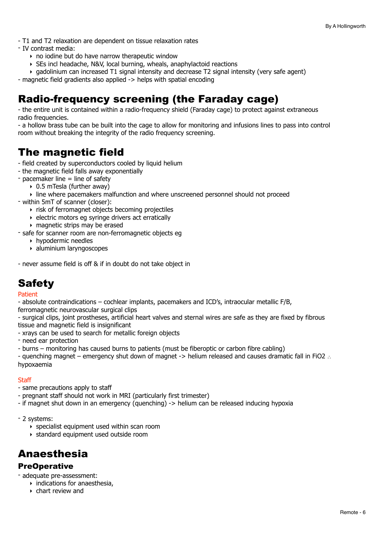- T1 and T2 relaxation are dependent on tissue relaxation rates

- IV contrast media:
	- $\rightarrow$  no iodine but do have narrow therapeutic window
	- ‣ SEs incl headache, N&V, local burning, wheals, anaphylactoid reactions
	- $\rightarrow$  gadolinium can increased T1 signal intensity and decrease T2 signal intensity (very safe agent)
- magnetic field gradients also applied -> helps with spatial encoding

## Radio-frequency screening (the Faraday cage)

- the entire unit is contained within a radio-frequency shield (Faraday cage) to protect against extraneous radio frequencies.

- a hollow brass tube can be built into the cage to allow for monitoring and infusions lines to pass into control room without breaking the integrity of the radio frequency screening.

## The magnetic field

- field created by superconductors cooled by liquid helium
- the magnetic field falls away exponentially
- $-$  pacemaker line  $=$  line of safety
	- ‣ 0.5 mTesla (further away)
	- ‣ line where pacemakers malfunction and where unscreened personnel should not proceed
- within 5mT of scanner (closer):
	- ‣ risk of ferromagnet objects becoming projectiles
	- ‣ electric motors eg syringe drivers act erratically
	- ‣ magnetic strips may be erased
- safe for scanner room are non-ferromagnetic objects eg
	- ‣ hypodermic needles
	- ‣ aluminium laryngoscopes

- never assume field is off & if in doubt do not take object in

## **Safety**

#### Patient

- absolute contraindications – cochlear implants, pacemakers and ICD's, intraocular metallic F/B,

ferromagnetic neurovascular surgical clips

- surgical clips, joint prostheses, artificial heart valves and sternal wires are safe as they are fixed by fibrous tissue and magnetic field is insignificant

- xrays can be used to search for metallic foreign objects
- need ear protection
- burns monitoring has caused burns to patients (must be fiberoptic or carbon fibre cabling)

- quenching magnet – emergency shut down of magnet -> helium released and causes dramatic fall in FiO2 ∴ hypoxaemia

#### **Staff**

- same precautions apply to staff
- pregnant staff should not work in MRI (particularly first trimester)
- if magnet shut down in an emergency (quenching) -> helium can be released inducing hypoxia
- 2 systems:
	- ‣ specialist equipment used within scan room
	- ‣ standard equipment used outside room

## Anaesthesia

#### PreOperative

- adequate pre-assessment:

- $\rightarrow$  indications for anaesthesia,
- ‣ chart review and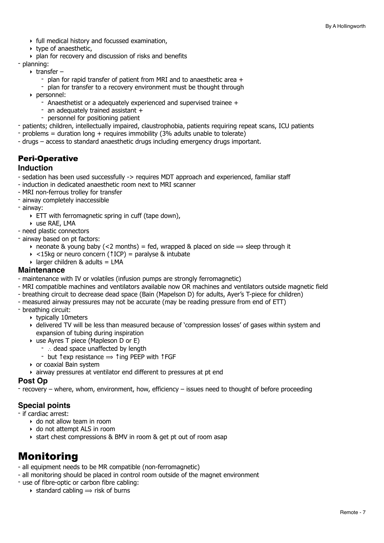- ‣ full medical history and focussed examination,
- ‣ type of anaesthetic,
- ‣ plan for recovery and discussion of risks and benefits

#### - planning:

- $\triangleright$  transfer
	- plan for rapid transfer of patient from MRI and to anaesthetic area +
	- plan for transfer to a recovery environment must be thought through
- ‣ personnel:
	- Anaesthetist or a adequately experienced and supervised trainee +
	- an adequately trained assistant +
	- personnel for positioning patient
- patients; children, intellectually impaired, claustrophobia, patients requiring repeat scans, ICU patients
- problems = duration long + requires immobility (3% adults unable to tolerate)
- drugs access to standard anaesthetic drugs including emergency drugs important.

#### Peri-Operative

#### **Induction**

- sedation has been used successfully -> requires MDT approach and experienced, familiar staff
- induction in dedicated anaesthetic room next to MRI scanner
- MRI non-ferrous trolley for transfer
- airway completely inaccessible
- airway:
	- $\triangleright$  ETT with ferromagnetic spring in cuff (tape down),
- ‣ use RAE, LMA
- need plastic connectors
- airway based on pt factors:
	- neonate & young baby (<2 months) = fed, wrapped & placed on side  $\Rightarrow$  sleep through it
	- ‣ <15kg or neuro concern (↑ICP) = paralyse & intubate
	- $\triangleright$  larger children & adults = LMA

#### **Maintenance**

- maintenance with IV or volatiles (infusion pumps are strongly ferromagnetic)
- MRI compatible machines and ventilators available now OR machines and ventilators outside magnetic field
- breathing circuit to decrease dead space (Bain (Mapelson D) for adults, Ayer's T-piece for children)
- measured airway pressures may not be accurate (may be reading pressure from end of ETT)
- breathing circuit:
	- ‣ typically 10meters
	- ‣ delivered TV will be less than measured because of 'compression losses' of gases within system and expansion of tubing during inspiration
	- ‣ use Ayres T piece (Mapleson D or E)
		- ∴ dead space unaffected by length
		- $\overline{\phantom{a}}$  but  $\overline{\phantom{a}}$  texp resistance  $\Rightarrow$   $\overline{\phantom{a}}$  ting PEEP with  $\overline{\phantom{a}}$  FGF
	- ‣ or coaxial Bain system
	- ‣ airway pressures at ventilator end different to pressures at pt end

#### **Post Op**

recovery – where, whom, environment, how, efficiency – issues need to thought of before proceeding

#### **Special points**

- if cardiac arrest:
	- ‣ do not allow team in room
	- ‣ do not attempt ALS in room
	- ‣ start chest compressions & BMV in room & get pt out of room asap

## Monitoring

- all equipment needs to be MR compatible (non-ferromagnetic)
- all monitoring should be placed in control room outside of the magnet environment
- use of fibre-optic or carbon fibre cabling:
	- $\rightarrow$  standard cabling  $\rightarrow$  risk of burns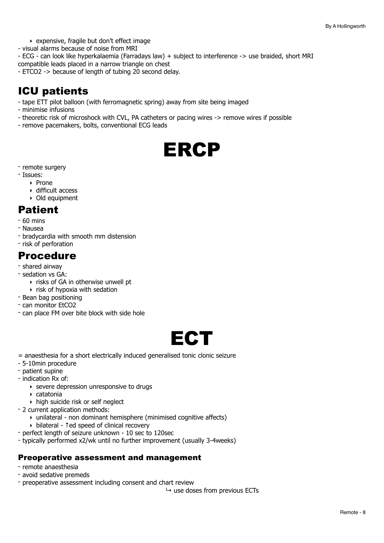- ‣ expensive, fragile but don't effect image
- visual alarms because of noise from MRI

- ECG - can look like hyperkalaemia (Farradays law) + subject to interference -> use braided, short MRI compatible leads placed in a narrow triangle on chest

- ETCO2 -> because of length of tubing 20 second delay.

## ICU patients

- tape ETT pilot balloon (with ferromagnetic spring) away from site being imaged
- minimise infusions
- theoretic risk of microshock with CVL, PA catheters or pacing wires -> remove wires if possible
- remove pacemakers, bolts, conventional ECG leads

<span id="page-7-0"></span>

- remote surgery
- Issues:
	- ‣ Prone
	- ‣ difficult access
	- ‣ Old equipment

## Patient

- 60 mins
- Nausea
- bradycardia with smooth mm distension
- risk of perforation

### Procedure

- shared airway
- sedation vs GA:
	- ‣ risks of GA in otherwise unwell pt
	- $\rightarrow$  risk of hypoxia with sedation
- Bean bag positioning
- can monitor EtCO2
- can place FM over bite block with side hole

<span id="page-7-1"></span>

- = anaesthesia for a short electrically induced generalised tonic clonic seizure
- 5-10min procedure
- patient supine
- indication Rx of:
	- ‣ severe depression unresponsive to drugs
	- ‣ catatonia
	- ‣ high suicide risk or self neglect
- 2 current application methods:
	- ‣ unilateral non dominant hemisphere (minimised cognitive affects)
	- ‣ bilateral ↑ed speed of clinical recovery
- perfect length of seizure unknown 10 sec to 120sec
- typically performed x2/wk until no further improvement (usually 3-4weeks)

#### Preoperative assessment and management

- remote anaesthesia
- avoid sedative premeds
- preoperative assessment including consent and chart review
	- $ightharpoonup$  use doses from previous ECTs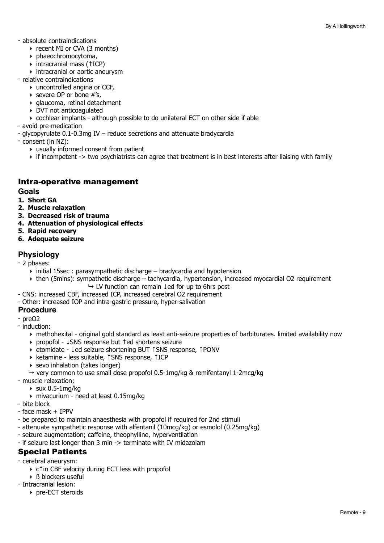- absolute contraindications
	- ‣ recent MI or CVA (3 months)
	- ‣ phaeochromocytoma,
	- ‣ intracranial mass (↑ICP)
	- ‣ intracranial or aortic aneurysm
- relative contraindications
	- ‣ uncontrolled angina or CCF,
	- ‣ severe OP or bone #'s,
	- ‣ glaucoma, retinal detachment
	- ‣ DVT not anticoagulated
	- $\rightarrow$  cochlear implants although possible to do unilateral ECT on other side if able
- avoid pre-medication
- glycopyrulate 0.1-0.3mg IV reduce secretions and attenuate bradycardia
- consent (in NZ):
	- $\rightarrow$  usually informed consent from patient
	- ‣ if incompetent -> two psychiatrists can agree that treatment is in best interests after liaising with family

#### Intra-operative management

#### **Goals**

- **1. Short GA**
- **2. Muscle relaxation**
- **3. Decreased risk of trauma**
- **4. Attenuation of physiological effects**
- **5. Rapid recovery**
- **6. Adequate seizure**

#### **Physiology**

- 2 phases:

- $\rightarrow$  initial 15sec : parasympathetic discharge bradycardia and hypotension
- ‣ then (5mins): sympathetic discharge tachycardia, hypertension, increased myocardial O2 requirement ↳ LV function can remain ↓ed for up to 6hrs post
- CNS: increased CBF, increased ICP, increased cerebral O2 requirement
- Other: increased IOP and intra-gastric pressure, hyper-salivation

#### **Procedure**

- preO2
- induction:
	- ‣ methohexital original gold standard as least anti-seizure properties of barbiturates. limited availability now
	- ‣ propofol ↓SNS response but ↑ed shortens seizure
	- ‣ etomidate ↓ed seizure shortening BUT ↑SNS response, ↑PONV
	- ‣ ketamine less suitable, ↑SNS response, ↑ICP
	- ‣ sevo inhalation (takes longer)
- $\rightarrow$  very common to use small dose propofol 0.5-1mg/kg & remifentanyl 1-2mcg/kg
- muscle relaxation;
	- $\rightarrow$  sux 0.5-1mg/kg
	- ‣ mivacurium need at least 0.15mg/kg
- bite block
- face mask + IPPV
- be prepared to maintain anaesthesia with propofol if required for 2nd stimuli
- attenuate sympathetic response with alfentanil (10mcg/kg) or esmolol (0.25mg/kg)
- seizure augmentation; caffeine, theophylline, hyperventilation
- if seizure last longer than 3 min -> terminate with IV midazolam

#### Special Patients

- cerebral aneurysm:
	- ‣ c↑in CBF velocity during ECT less with propofol
	- ‣ ß blockers useful
- Intracranial lesion:
	- ‣ pre-ECT steroids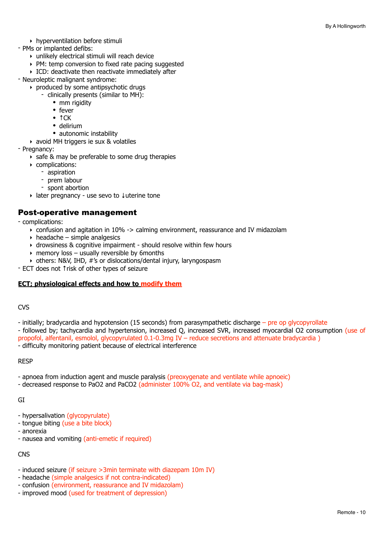- ‣ hyperventilation before stimuli
- PMs or implanted defibs:
	- ‣ unlikely electrical stimuli will reach device
	- ‣ PM: temp conversion to fixed rate pacing suggested
	- ‣ ICD: deactivate then reactivate immediately after
- Neuroleptic malignant syndrome:
	- ‣ produced by some antipsychotic drugs
		- clinically presents (similar to MH):
			- mm rigidity
			- fever
			- ↑CK
			- delirium
			- autonomic instability
	- ‣ avoid MH triggers ie sux & volatiles
- Pregnancy:
	- ‣ safe & may be preferable to some drug therapies
	- ‣ complications:
		- aspiration
		- prem labour
		- spont abortion
	- ‣ later pregnancy use sevo to ↓uterine tone

#### Post-operative management

- complications:

- $\rightarrow$  confusion and agitation in 10% -> calming environment, reassurance and IV midazolam
- $\rightarrow$  headache simple analgesics
- ‣ drowsiness & cognitive impairment should resolve within few hours
- $\rightarrow$  memory loss usually reversible by 6 months
- ‣ others: N&V, IHD, #'s or dislocations/dental injury, laryngospasm
- ECT does not ↑risk of other types of seizure

#### **ECT; physiological effects and how to modify them**

#### CVS

- initially; bradycardia and hypotension (15 seconds) from parasympathetic discharge pre op glycopyrollate
- followed by; tachycardia and hypertension, increased Q, increased SVR, increased myocardial O2 consumption (use of propofol, alfentanil, esmolol, glycopyrulated 0.1-0.3mg IV – reduce secretions and attenuate bradycardia )

- difficulty monitoring patient because of electrical interference

#### RESP

- apnoea from induction agent and muscle paralysis (preoxygenate and ventilate while apnoeic)
- decreased response to PaO2 and PaCO2 (administer 100% O2, and ventilate via bag-mask)

#### GI

- hypersalivation (glycopyrulate)
- tongue biting (use a bite block)
- anorexia
- nausea and vomiting (anti-emetic if required)

#### **CNS**

- induced seizure (if seizure >3min terminate with diazepam 10m IV)
- headache (simple analgesics if not contra-indicated)
- confusion (environment, reassurance and IV midazolam)
- improved mood (used for treatment of depression)